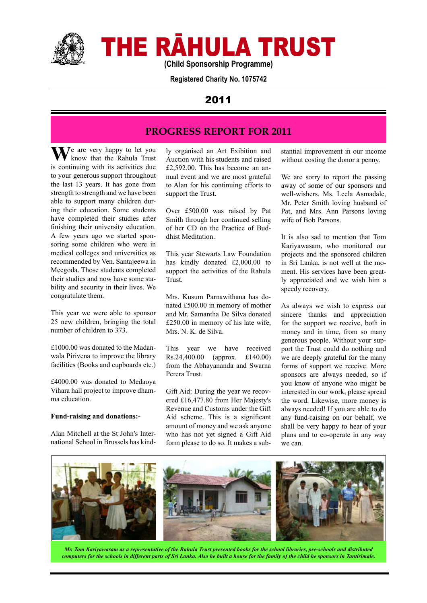

# THE RĀHULA TRUST

**(Child Sponsorship Programme)**

**Registered Charity No. 1075742**

## 2011

## **PROGRESS REPORT FOR 2011**

**W**e are very happy to let you know that the Rahula Trust is continuing with its activities due to your generous support throughout the last 13 years. It has gone from strength to strength and we have been able to support many children during their education. Some students have completed their studies after finishing their university education. A few years ago we started sponsoring some children who were in medical colleges and universities as recommended by Ven. Santajeewa in Meegoda. Those students completed their studies and now have some stability and security in their lives. We congratulate them.

This year we were able to sponsor 25 new children, bringing the total number of children to 373.

£1000.00 was donated to the Madanwala Pirivena to improve the library facilities (Books and cupboards etc.)

£4000.00 was donated to Medaoya Vihara hall project to improve dhamma education.

#### **Fund-raising and donations:-**

Alan Mitchell at the St John's International School in Brussels has kind-

ly organised an Art Exibition and Auction with his students and raised £2,592.00. This has become an annual event and we are most grateful to Alan for his continuing efforts to support the Trust.

Over £500.00 was raised by Pat Smith through her continued selling of her CD on the Practice of Buddhist Meditation.

This year Stewarts Law Foundation has kindly donated £2,000.00 to support the activities of the Rahula Trust.

Mrs. Kusum Parnawithana has donated £500.00 in memory of mother and Mr. Samantha De Silva donated £250.00 in memory of his late wife, Mrs. N. K. de Silva.

This year we have received Rs.24,400.00 (approx. £140.00) from the Abhayananda and Swarna Perera Trust.

Gift Aid: During the year we recovered £16,477.80 from Her Majesty's Revenue and Customs under the Gift Aid scheme. This is a significant amount of money and we ask anyone who has not yet signed a Gift Aid form please to do so. It makes a substantial improvement in our income without costing the donor a penny.

We are sorry to report the passing away of some of our sponsors and well-wishers. Ms. Leela Asmadale, Mr. Peter Smith loving husband of Pat, and Mrs. Ann Parsons loving wife of Bob Parsons.

It is also sad to mention that Tom Kariyawasam, who monitored our projects and the sponsored children in Sri Lanka, is not well at the moment. His services have been greatly appreciated and we wish him a speedy recovery.

As always we wish to express our sincere thanks and appreciation for the support we receive, both in money and in time, from so many generous people. Without your support the Trust could do nothing and we are deeply grateful for the many forms of support we receive. More sponsors are always needed, so if you know of anyone who might be interested in our work, please spread the word. Likewise, more money is always needed! If you are able to do any fund-raising on our behalf, we shall be very happy to hear of your plans and to co-operate in any way we can.



*Mr. Tom Kariyawasam as a representative of the Rahula Trust presented books for the school libraries, pre-schools and distributed computers for the schools in different parts of Sri Lanka. Also he built a house for the family of the child he sponsors in Tantirimale.*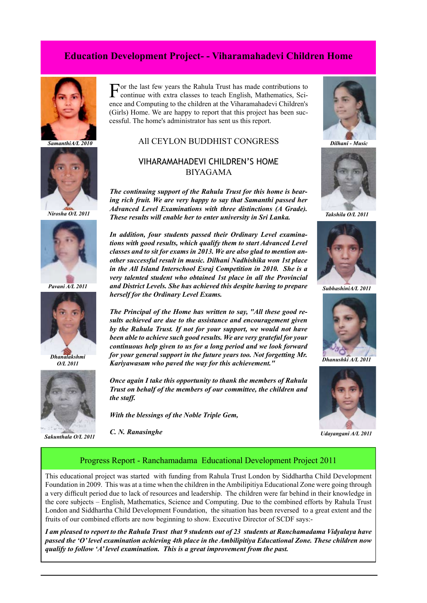## **Education Development Project- - Viharamahadevi Children Home**





*Nirosha O/L 2011*



*Pavani A/L 2011*



*O/L 2011*



*Sakunthala O/L 2011*

For the last few years the Rahula Trust has made contributions to continue with extra classes to teach English, Mathematics, Science and Computing to the children at the Viharamahadevi Children's (Girls) Home. We are happy to report that this project has been successful. The home's administrator has sent us this report.

#### All CEYLON BUDDHIST CONGRESS  *SamanthiA/L 2010 Dilhani - Music*

## VIHARAMAHADEVI CHILDREN'S HOME BIYAGAMA

*The continuing support of the Rahula Trust for this home is bearing rich fruit. We are very happy to say that Samanthi passed her Advanced Level Examinations with three distinctions (A Grade). These results will enable her to enter university in Sri Lanka.*

*In addition, four students passed their Ordinary Level examinations with good results, which qualify them to start Advanced Level classes and to sit for exams in 2013. We are also glad to mention another successful result in music. Dilhani Nadhishika won 1st place in the All Island Interschool Esraj Competition in 2010. She is a very talented student who obtained 1st place in all the Provincial and District Levels. She has achieved this despite having to prepare herself for the Ordinary Level Exams.*

*The Principal of the Home has written to say, "All these good results achieved are due to the assistance and encouragement given by the Rahula Trust. If not for your support, we would not have been able to achieve such good results. We are very grateful for your continuous help given to us for a long period and we look forward for your general support in the future years too. Not forgetting Mr. Kariyawasam who paved the way for this achievement."*

*Once again I take this opportunity to thank the members of Rahula Trust on behalf of the members of our committee, the children and the staff.* 

*With the blessings of the Noble Triple Gem,*

*C. N. Ranasinghe*





*Takshila O/L 2011*



*SubhashiniA/L 2011*



*Dhanushki A/L 2011*



*Udayangani A/L 2011*

#### Progress Report - Ranchamadama Educational Development Project 2011

This educational project was started with funding from Rahula Trust London by Siddhartha Child Development Foundation in 2009. This was at a time when the children in the Ambilipitiya Educational Zone were going through a very difficult period due to lack of resources and leadership. The children were far behind in their knowledge in the core subjects – English, Mathematics, Science and Computing. Due to the combined efforts by Rahula Trust London and Siddhartha Child Development Foundation, the situation has been reversed to a great extent and the fruits of our combined efforts are now beginning to show. Executive Director of SCDF says:-

*I am pleased to report to the Rahula Trust that 9 students out of 23 students at Ranchamadama Vidyalaya have passed the 'O' level examination achieving 4th place in the Ambilipitiya Educational Zone. These children now qualify to follow 'A' level examination. This is a great improvement from the past.*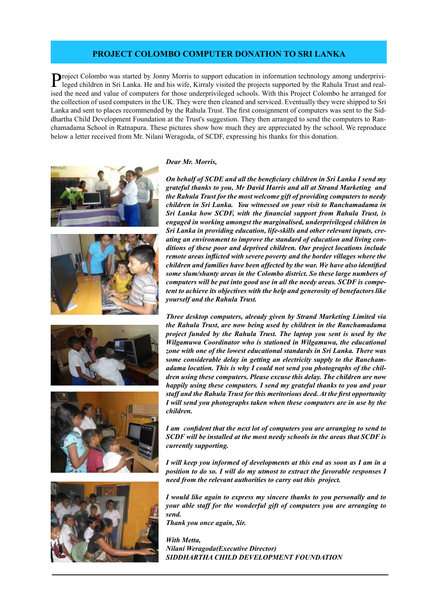#### **PROJECT COLOMBO COMPUTER DONATION TO SRI LANKA**

Project Colombo was started by Jonny Morris to support education in information technology among underprivileged children in Sri Lanka. He and his wife, Kirraly visited the projects supported by the Rahula Trust and realised the need and value of computers for those underprivileged schools. With this Project Colombo he arranged for the collection of used computers in the UK. They were then cleaned and serviced. Eventually they were shipped to Sri Lanka and sent to places recommended by the Rahula Trust. The first consignment of computers was sent to the Siddhartha Child Development Foundation at the Trust's suggestion. They then arranged to send the computers to Ranchamadama School in Ratnapura. These pictures show how much they are appreciated by the school. We reproduce below a letter received from Mr. Nilani Weragoda, of SCDF, expressing his thanks for this donation.











#### *Dear Mr. Morris,*

*On behalf of SCDE and all the beneficiary children in Sri Lanka I send my grateful thanks to you, Mr David Harris and all at Strand Marketing and the Rahula Trust for the most welcome gift of providing computers to needy children in Sri Lanka. You witnessed on your visit to Ranchamadama in Sri Lanka how SCDF, with the financial support from Rahula Trust, is engaged in working amongst the marginalised, underprivileged children in Sri Lanka in providing education, life-skills and other relevant inputs, creating an environment to improve the standard of education and living conditions of these poor and deprived children. Our project locations include remote areas inflicted with severe poverty and the border villages where the children and families have been affected by the war. We have also identified some slum/shanty areas in the Colombo district. So these large numbers of computers will be put into good use in all the needy areas. SCDF is competent to achieve its objectives with the help and generosity of benefactors like yourself and the Rahula Trust.*

*Three desktop computers, already given by Strand Marketing Limited via the Rahula Trust, are now being used by children in the Ranchamadama project funded by the Rahula Trust. The laptop you sent is used by the Wilgamuwa Coordinator who is stationed in Wilgamuwa, the educational zone with one of the lowest educational standards in Sri Lanka. There was some considerable delay in getting an electricity supply to the Ranchamadama location. This is why I could not send you photographs of the children using these computers. Please excuse this delay. The children are now happily using these computers. I send my grateful thanks to you and your staff and the Rahula Trust for this meritorious deed. At the first opportunity I will send you photographs taken when these computers are in use by the children.* 

*I am confident that the next lot of computers you are arranging to send to SCDF will be installed at the most needy schools in the areas that SCDF is currently supporting.* 

*I will keep you informed of developments at this end as soon as I am in a position to do so. I will do my utmost to extract the favorable responses I need from the relevant authorities to carry out this project.* 

*I would like again to express my sincere thanks to you personally and to your able staff for the wonderful gift of computers you are arranging to send.* 

*Thank you once again, Sir.*

*With Metta, Nilani Weragoda(Executive Director) SIDDHARTHA CHILD DEVELOPMENT FOUNDATION*